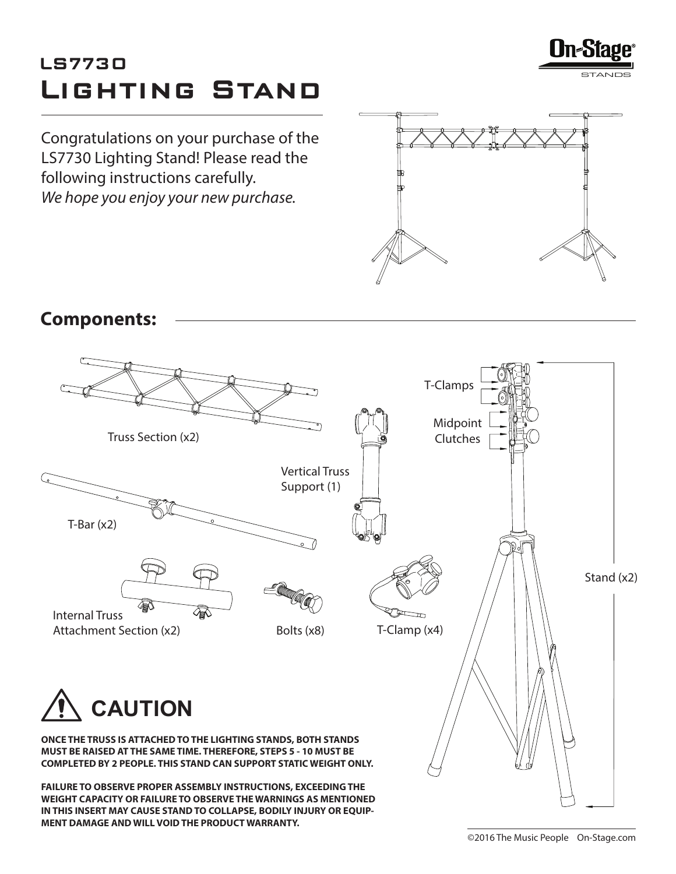## Lighting Stand LS7730

Congratulations on your purchase of the LS7730 Lighting Stand! Please read the following instructions carefully. *We hope you enjoy your new purchase.*

**MENT DAMAGE AND WILL VOID THE PRODUCT WARRANTY.**



STANDS

**Un-Stage** 

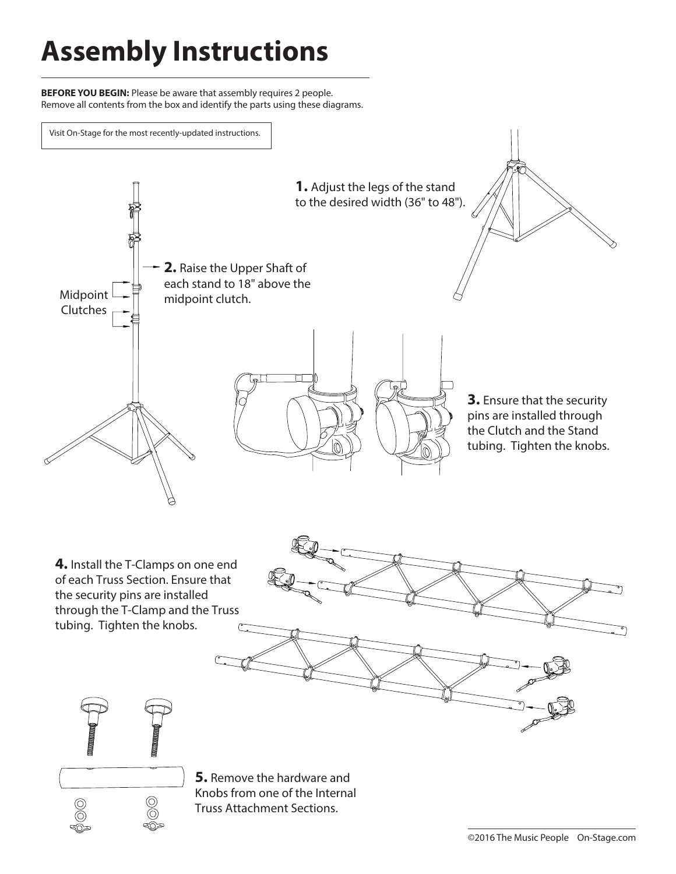# **Assembly Instructions**

**BEFORE YOU BEGIN:** Please be aware that assembly requires 2 people. Remove all contents from the box and identify the parts using these diagrams.

Visit On-Stage for the most recently-updated instructions.

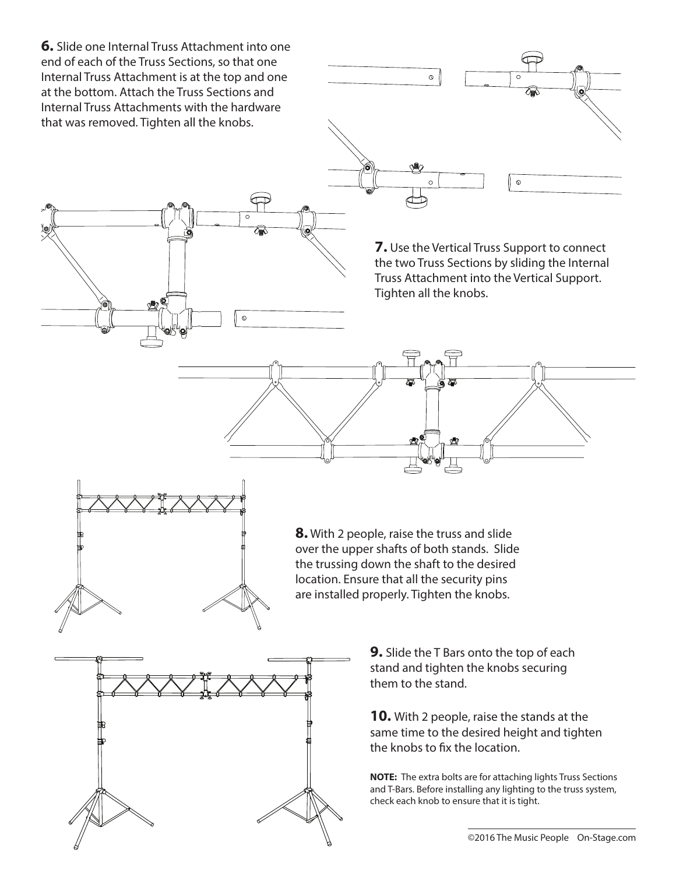